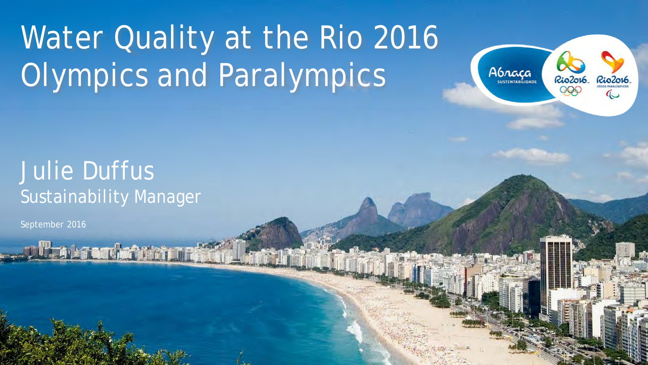# Water Quality at the Rio 2016 Olympics and Paralympics



# Julie Duffus Sustainability Manager

**The Accord State of The** 

September 2016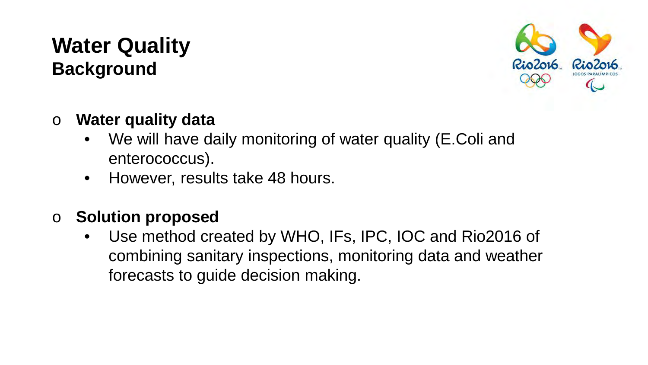## **Water Quality Background**



- o **Water quality data**
	- We will have daily monitoring of water quality (E.Coli and enterococcus).
	- However, results take 48 hours.
- o **Solution proposed**
	- Use method created by WHO, IFs, IPC, IOC and Rio2016 of combining sanitary inspections, monitoring data and weather forecasts to guide decision making.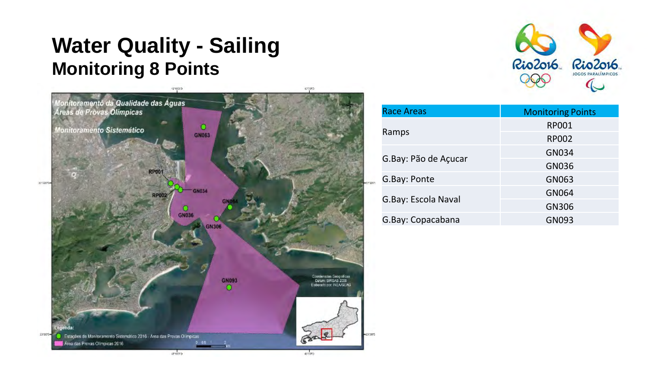# **Water Quality - Sailing Monitoring 8 Points**





| <b>Race Areas</b>    | <b>Monitoring Points</b> |
|----------------------|--------------------------|
|                      | RP001                    |
| Ramps                | RP002                    |
| G.Bay: Pão de Açucar | GN034                    |
|                      | GN036                    |
| G.Bay: Ponte         | GN063                    |
| G.Bay: Escola Naval  | GN064                    |
|                      | GN306                    |
| G.Bay: Copacabana    | GN093                    |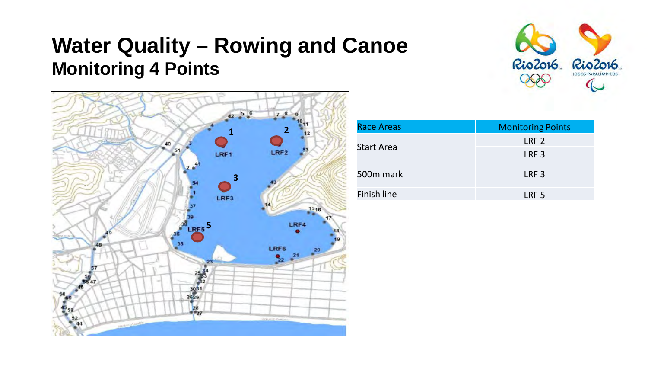# **Water Quality – Rowing and Canoe Monitoring 4 Points**





| Race Areas  | <b>Monitoring Points</b> |
|-------------|--------------------------|
| Start Area  | LRF <sub>2</sub>         |
|             | LRF <sub>3</sub>         |
| 500m mark   | LRF <sub>3</sub>         |
| Finish line | LRF <sub>5</sub>         |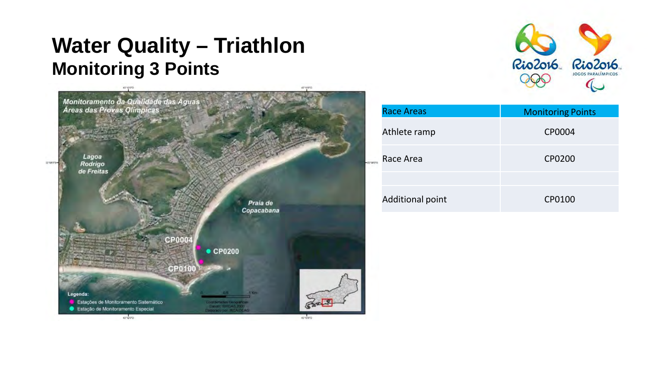## **Water Quality – Triathlon Monitoring 3 Points**





| <b>Race Areas</b> | <b>Monitoring Points</b> |
|-------------------|--------------------------|
| Athlete ramp      | CP0004                   |
| Race Area         | CP0200                   |
|                   |                          |
| Additional point  | CP0100                   |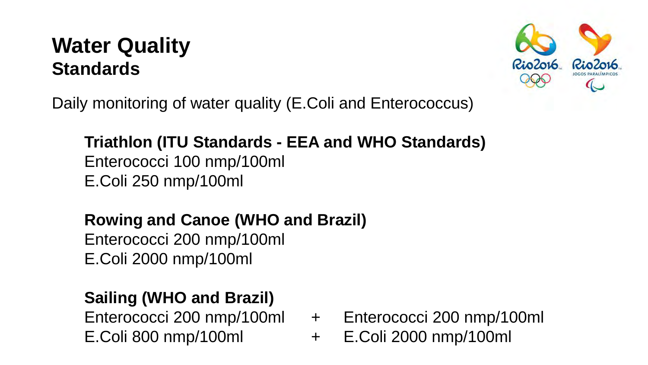# **Water Quality Standards**



Daily monitoring of water quality (E.Coli and Enterococcus)

#### **Triathlon (ITU Standards - EEA and WHO Standards)** Enterococci 100 nmp/100ml E.Coli 250 nmp/100ml

#### **Rowing and Canoe (WHO and Brazil)**

Enterococci 200 nmp/100ml E.Coli 2000 nmp/100ml

#### **Sailing (WHO and Brazil)**

E.Coli 800 nmp/100ml + E.Coli 2000 nmp/100ml

- Enterococci 200 nmp/100ml + Enterococci 200 nmp/100ml
	-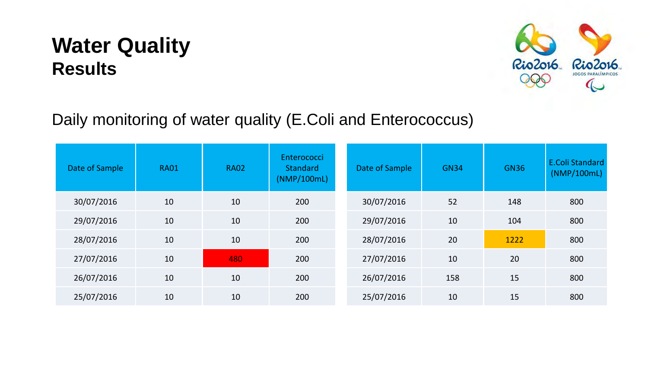# **Water Quality Results**



#### Daily monitoring of water quality (E.Coli and Enterococcus)

| Date of Sample | <b>RA01</b> | <b>RA02</b> | Enterococci<br><b>Standard</b><br>(NMP/100mL) | Date of Sample | <b>GN34</b> | <b>GN36</b> | <b>E.Coli Standard</b><br>(NMP/100mL) |
|----------------|-------------|-------------|-----------------------------------------------|----------------|-------------|-------------|---------------------------------------|
| 30/07/2016     | 10          | 10          | 200                                           | 30/07/2016     | 52          | 148         | 800                                   |
| 29/07/2016     | 10          | 10          | 200                                           | 29/07/2016     | 10          | 104         | 800                                   |
| 28/07/2016     | 10          | 10          | 200                                           | 28/07/2016     | 20          | 1222        | 800                                   |
| 27/07/2016     | 10          | 480         | 200                                           | 27/07/2016     | 10          | 20          | 800                                   |
| 26/07/2016     | 10          | 10          | 200                                           | 26/07/2016     | 158         | 15          | 800                                   |
| 25/07/2016     | 10          | 10          | 200                                           | 25/07/2016     | 10          | 15          | 800                                   |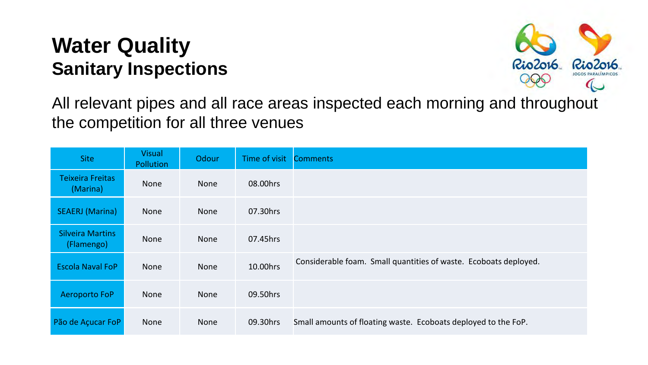### **Water Quality Sanitary Inspections**



All relevant pipes and all race areas inspected each morning and throughout the competition for all three venues

| <b>Site</b>                           | <b>Visual</b><br><b>Pollution</b> | Odour       | Time of visit | <b>Comments</b>                                                  |
|---------------------------------------|-----------------------------------|-------------|---------------|------------------------------------------------------------------|
| <b>Teixeira Freitas</b><br>(Marina)   | None                              | None        | 08.00hrs      |                                                                  |
| <b>SEAERJ</b> (Marina)                | <b>None</b>                       | None        | 07.30hrs      |                                                                  |
| <b>Silveira Martins</b><br>(Flamengo) | None                              | None        | 07.45hrs      |                                                                  |
| <b>Escola Naval FoP</b>               | <b>None</b>                       | <b>None</b> | 10.00hrs      | Considerable foam. Small quantities of waste. Ecoboats deployed. |
| Aeroporto FoP                         | <b>None</b>                       | None        | 09.50hrs      |                                                                  |
| Pão de Açucar FoP                     | None                              | None        | 09.30hrs      | Small amounts of floating waste. Ecoboats deployed to the FoP.   |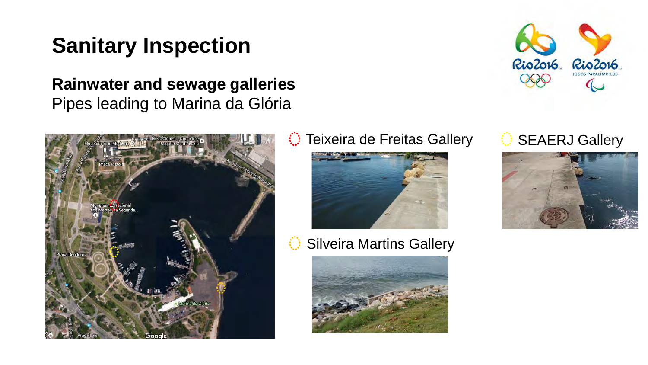# **Sanitary Inspection**

**Rainwater and sewage galleries** Pipes leading to Marina da Glória



#### $\circled{}$  Teixeira de Freitas Gallery  $\circled{}$  SEAERJ Gallery



Silveira Martins Gallery





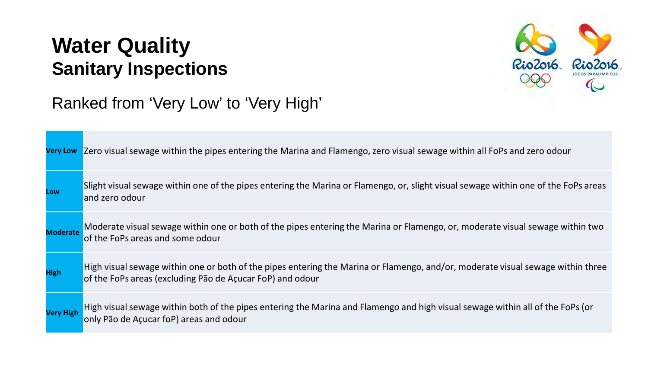### **Water Quality Sanitary Inspections**



#### Ranked from 'Very Low' to 'Very High'

| <b>Very Low</b>  | Zero visual sewage within the pipes entering the Marina and Flamengo, zero visual sewage within all FoPs and zero odour                                                                      |
|------------------|----------------------------------------------------------------------------------------------------------------------------------------------------------------------------------------------|
| Low              | Slight visual sewage within one of the pipes entering the Marina or Flamengo, or, slight visual sewage within one of the FoPs areas<br>and zero odour                                        |
| <b>Moderate</b>  | Moderate visual sewage within one or both of the pipes entering the Marina or Flamengo, or, moderate visual sewage within two<br>of the FoPs areas and some odour                            |
| <b>High</b>      | High visual sewage within one or both of the pipes entering the Marina or Flamengo, and/or, moderate visual sewage within three<br>of the FoPs areas (excluding Pão de Açucar FoP) and odour |
| <b>Very High</b> | High visual sewage within both of the pipes entering the Marina and Flamengo and high visual sewage within all of the FoPs (or<br>only Pão de Açucar foP) areas and odour                    |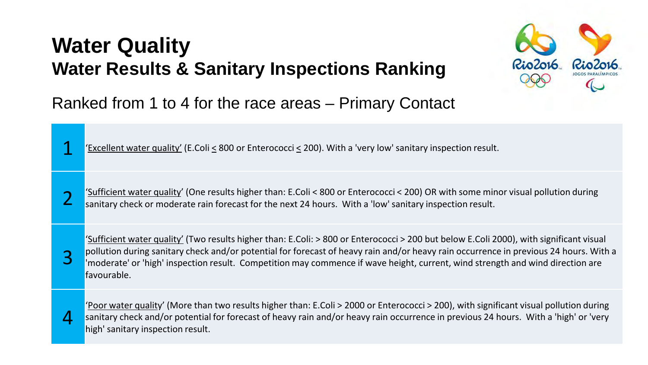# **Water Quality Water Results & Sanitary Inspections Ranking**



Ranked from 1 to 4 for the race areas – Primary Contact

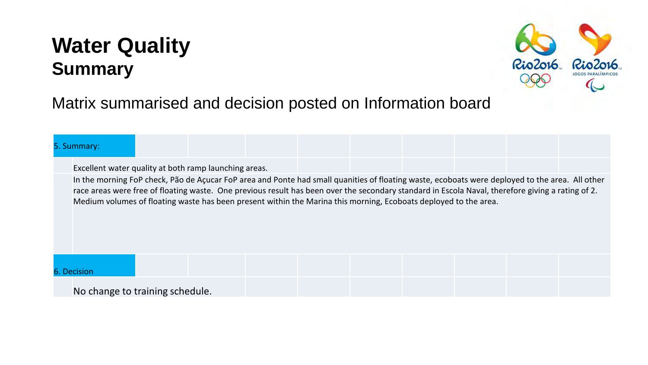# **Water Quality Summary**



#### Matrix summarised and decision posted on Information board

#### 5. Summary:

Excellent water quality at both ramp launching areas.

In the morning FoP check, Pão de Açucar FoP area and Ponte had small quanities of floating waste, ecoboats were deployed to the area. All other race areas were free of floating waste. One previous result has been over the secondary standard in Escola Naval, therefore giving a rating of 2. Medium volumes of floating waste has been present within the Marina this morning, Ecoboats deployed to the area.

6. Decision

No change to training schedule.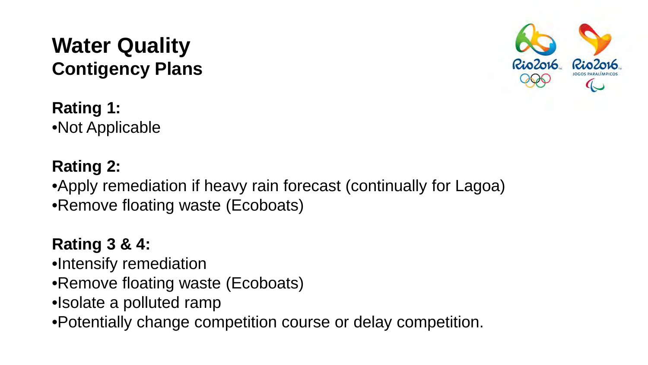#### **Water Quality Contigency Plans**

**Rating 1:** •Not Applicable

**Rating 2:** •Apply remediation if heavy rain forecast (continually for Lagoa) •Remove floating waste (Ecoboats)

#### **Rating 3 & 4:**

•Intensify remediation

- •Remove floating waste (Ecoboats)
- •Isolate a polluted ramp

•Potentially change competition course or delay competition.